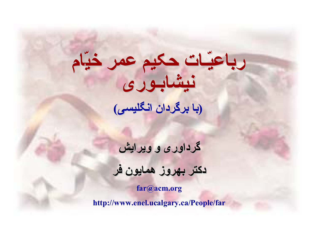# **نيشابـوری نيشابـوری رباعيّـات رباعيّـات حکيم عمر خيّام (با برگردان برگردان انگليسی انگليسی)**

**گرداوری گرداوری <sup>و</sup> ویرایش**

### **دکتر بهروز همایون فر**

**far@acm.org**

**http://www.enel.ucalgary.ca/People/far**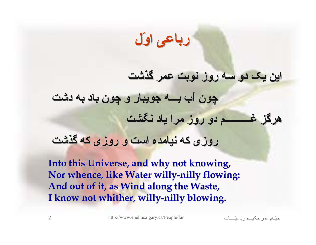**رباعی اوّل**

#### **این یک دو سه روز نوبت عمر گذشت**

**چون آب بـــه جویبار <sup>و</sup> چون باد به دشت هرگز غــــــــــم غــــــــــم دو روز مرا یاد نگشت**

#### **روزی که نيامده است <sup>و</sup> روزی که گذشت**

Into this Universe, and why not knowing, Nor whence, like Water willy-nilly flowing: **And out of it, as Wind along the Waste, And out of it, as Wind along the Waste, I know not whither, willy-nilly blowing.**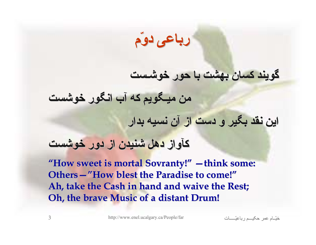**رباعی دوّم**

#### **گویند کسان بهشت با حور خوشـست**

**من ميـگویم ميـگویم که آب انگور خوشست**

**این نقد بگير <sup>و</sup> دست از آن نسيه بدار**

#### **کآواز دهل شنيدن از دور خوشست**

"How sweet is mortal Sovranty!" - think some: **Others – "How blest the Paradise to come!" Ah, take the Cash in hand and waive the Rest; Ah, take the Cash in hand and waive the Rest; Oh, the brave Music of a distant Drum!** 

اتѧѧѧѧѧѧѧـّرباعي مѧѧѧѧѧѧحکي عمر امѧѧѧّخي <sup>3</sup> http://www.enel.ucalgary.ca/People/far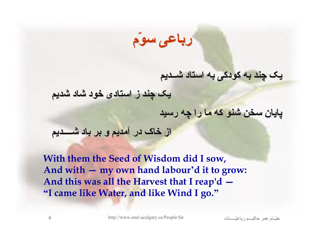**رباعی سوّم**

#### **یک چند به کودکی به استاد شــدیم**

**یک چند ز استادی خود شاد شدیم**

**پایان سخن شنو که ما را چه رسيد**

#### **از خاک در آمدیم <sup>و</sup> بر باد شــــدیم شــــدیم**

**With them the Seed of Wisdom did I sow, And with — my own hand labour — 'd it to grow: And this was all the Harvest that I reap'd — "I came like Water, and like Wind I go."**

اتѧѧѧѧѧѧѧـّرباعي مѧѧѧѧѧѧحکي عمر امѧѧѧّخي <sup>4</sup> http://www.enel.ucalgary.ca/People/far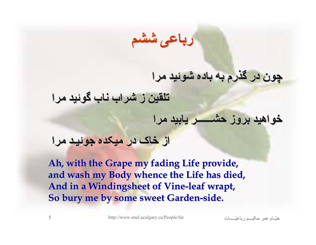**رباعی ششم**

#### **چون در گذرم به باده شوئيد مرا**

**تلقين ز شراب ناب گوئيد مرا**

#### **خواهيد بروز حشــــــر حشــــــر یابيد مرا**

#### **از خاک در ميکده جوئيـد مرا**

Ah, with the Grape my fading Life provide, **and wash my Body whence the Life has died, and wash my Body whence the Life has died,** And in a Windingsheet of Vine-leaf wrapt, **So bury me by some sweet Garden-side.** 

اتѧѧѧѧѧѧѧـّرباعي مѧѧѧѧѧѧحکي عمر امѧѧѧّخي <sup>5</sup> http://www.enel.ucalgary.ca/People/far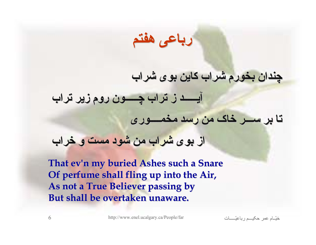**رباعی هفتم**

## **چندان بخورم شراب کاین بوی شراب**

**آیـــــد آیـــــد ز تراب چـــــون چـــــون روم زیر تراب تا بر ســـر خاک من رسد مخمــــوری مخمــــوری**

**از بوی شراب من شود مست <sup>و</sup> خراب**

**That ev'n my buried Ashes such a Snare Of perfume shall fling up into the Air, Of perfume shall fling up into the Air, As not a True Believer passing by But shall be overtaken unaware. But shall be overtaken unaware.**

اتѧѧѧѧѧѧѧـّرباعي مѧѧѧѧѧѧحکي عمر امѧѧѧّخي <sup>6</sup> http://www.enel.ucalgary.ca/People/far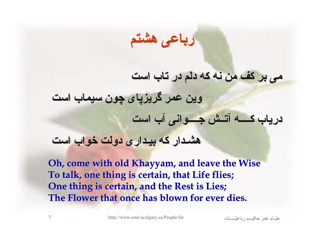**رباعی هشتم**

#### **می بر کف من نه که دلم در تاب است**

**وین عمر گریزپای گریزپای چون سيماب است دریاب کــــه آتــش جــــوانی جــــوانی آب است**

#### **هشـدار که بيـداری بيـداری دولت خواب است**

**Oh, come with old Khayyam, and leave the Wise To talk, one thing is certain, that Life flies; To talk, one thing is certain, that Life flies; One thing is certain, and the Rest is Lies; One thing is certain, and the Rest is Lies; The Flower that once has blown for ever dies. The Flower that once has blown for ever dies.**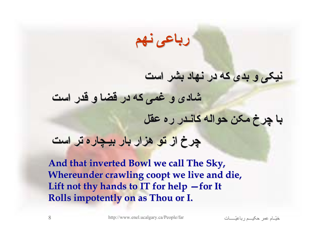**رباعی نهم**

#### **نيکی <sup>و</sup> بدی که در نهاد بشر است**

**شادی <sup>و</sup> غمی که در قضا <sup>و</sup> قدر است**

**با چرخ مکن حواله کانـدر ره عقل**

**چرخ از تو هزار بار بيـچاره بيـچاره تر است**

**And that inverted Bowl we call The Sky, And that inverted Bowl we call The Sky, Whereunder Whereunder crawling crawling coopt we live and die, we live and die,** Lift not thy hands to IT for help -for It **Rolls impotently on as Thou or I. Rolls impotently on as Thou or I.**

اتѧѧѧѧѧѧѧـّرباعي مѧѧѧѧѧѧحکي عمر امѧѧѧّخي <sup>8</sup> http://www.enel.ucalgary.ca/People/far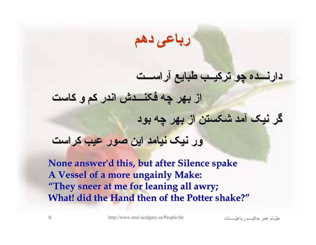**رباعی دهم**

## **دارنـــده دارنـــده چو ترکيــب ترکيــب طبایع آراســـت آراســـت از بهر چه فکنـــدش فکنـــدش اندر کم <sup>و</sup> کاست گر نيک آمد شکستن از بهر چه بود**

#### **ور نيک نيامد این صور عيب کراست**

**None answer'd answer'd this, but after Silence this, but after Silence spake A Vessel of a more ungainly Make: A Vessel of a more ungainly Make: "They sneer at me for leaning all awry; They sneer at me for leaning all awry; What! did the Hand then of the Potter shake?"** 

اتѧѧѧѧѧѧѧـّرباعي مѧѧѧѧѧѧحکي عمر امѧѧѧّخي <sup>9</sup> http://www.enel.ucalgary.ca/People/far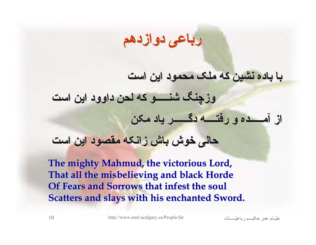### **رباعی دوازدهم دوازدهم**

#### **با باده نشين که ملک محمود این است**

**وزچنگ شنـــــو شنـــــو که لحن داوود این است**

**از آمـــــده آمـــــده <sup>و</sup> رفتــــه رفتــــه دگــــــر دگــــــر یاد مکن**

#### **حالی خوش باش زانکه مقصود این است**

**The mighty Mahmud, the victorious Lord, That all the misbelieving and black Horde Of Fears and Sorrows that infest the soul Scatters and slays with his enchanted Sword.**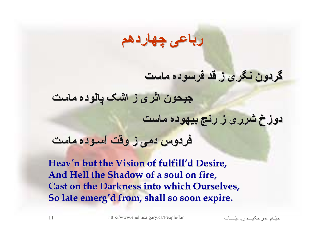### **رباعی چهاردهم چهاردهم**

#### **گردون نگری ز قد فرسوده ماست**

**جيحون اثری ز اشک پالوده ماست**

**دوزخ شرری ز رنج بيهوده ماست**

**فردوس دمی ز وقت آسـوده ماست**

**Heav'n but the Vision of fulfill'd Desire, And Hell the Shadow of a soul on fire, Hell the Shadow of a soul on fire, Cast on the Darkness into which Ourselves, So late emerg'd from, shall so soon expire.** 

اتѧѧѧѧѧѧѧـّرباعي مѧѧѧѧѧѧحکي عمر امѧѧѧّخي <sup>11</sup> http://www.enel.ucalgary.ca/People/far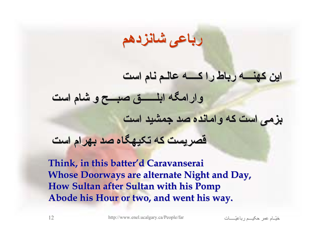### **رباعی شانزدهم شانزدهم**

## **این کهنـــه کهنـــه رباط را کــــه عالـم نام است وارامگه وارامگه ابلــــــق ابلــــــق صبـــح <sup>و</sup> شام است بزمی است که وامانده وامانده صد جمشيد است**

#### **قصریست که تکيهگاه تکيهگاه صد بهرام است**

**Think, in this batter'd Caravanserai Whose Doorways are alternate Night and Day, How Sultan after Sultan with his Pomp Abode his Hour or two, and went his way. Abode his Hour or two, and went his way.**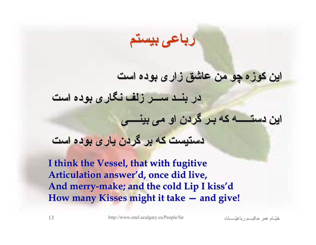**رباعی بيستم**

## **این کوزه چو من عاشق زاری بوده است در بنــد ســـر زلف نگاری بوده است این دستـــــه دستـــــه که بـر گردن او می بينــــی بينــــی دستيست که بر گردن یاری بوده است**

**I think the Vessel, that with fugitive I think the Vessel, that with fugitive Articulation Articulation answer'd, once did live, , once did live,** And merry-make; and the cold Lip I kiss'd How many Kisses might it take — and give!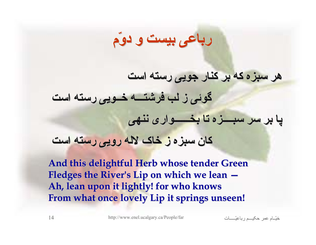## **هر سبزه که بر کنار جویی رسته است گوئی ز لب فرشتـــه فرشتـــه خــویی رسته است پا بر سر سبــــزه سبــــزه تا بخــــــواری بخــــــواری ننهی کان سبزه ز خاک لاله رویی رسته است**

**رباعی بيست <sup>و</sup> دوّم**

**And this delightful Herb whose tender Green And this delightful Herb whose tender Green** Fledges the River's Lip on which we lean  $-$ **Ah, lean upon it lightly! for who knows Ah, lean upon it lightly! for who knows From what once lovely Lip it springs unseen! From what once lovely Lip it springs unseen!**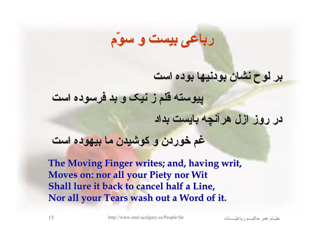## **رباعی بيست <sup>و</sup> سوّم**

#### **بر لوح نشان بودنيها بودنيها بوده است**

**پيوسته قلم ز نيک <sup>و</sup> بد فرسوده است**

**در روز ازل هرآنچه بایست بداد**

#### **غم خوردن <sup>و</sup> کوشيدن ما بيهوده است**

**The Moving Finger writes; and, having writ, Moves on: nor all your Piety nor Wit Shall lure it back to cancel half a Line,** Nor all your Tears wash out a Word of it.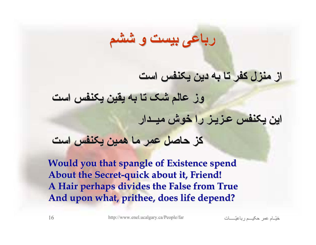#### **از منزل کفر تا به دین یکنفس است**

**وز عالم شک تا به یقين یکنفس است این یکنفس عـزیـز را خوش ميــدار ميــدار کز حاصل عمر ما همين یکنفس است**

**رباعی بيست <sup>و</sup> ششم**

**Would you that spangle of Existence spend Would you that spangle of Existence spend About the Secret About the Secret-quick about it, Friend! quick about it, Friend! A Hair perhaps divides the False from True A Hair perhaps divides the False from True** And upon what, prithee, does life depend?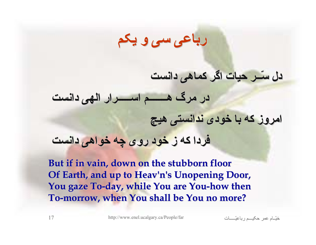### **رباعی سی <sup>و</sup> یکم**

#### **دل سّــر حيات اگر کماهی دانست**

**در مرگ هـــــــم هـــــــم اســـــرار اســـــرار الهی دانست**

**امروز که با خودی ندانستی ندانستی هيچ**

**فردا که ز خود روی چه خواهی دانست**

**But if in vain, down on the stubborn floor But if in vain, down on the stubborn floor Of Earth, and up to Heav'n's Unopening Door, You gaze To You gaze To-day, while You are You day, while You are You-how then how then** To-morrow, when You shall be You no more?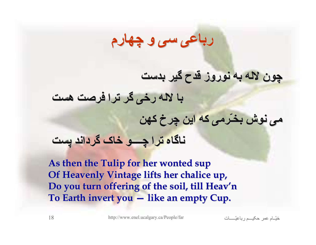## **رباعی سی <sup>و</sup> چهارم**

## **چون لاله به نوروز قدح گير بدست با لاله رخی گر ترا فرصت هست می نوش بخـّرمی بخـّرمی که این چرخ کهن ناگاه ترا چــــو خاک گرداند پست**

As then the Tulip for her wonted sup **Of Heavenly Vintage lifts her chalice up, Do you turn offering of the soil, till Heav Do you turn offering of the soil, till Heav'n**  To Earth invert you – like an empty Cup.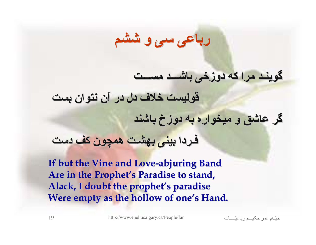**رباعی سی <sup>و</sup> ششم**

#### **گوینـد مرا که دوزخی باشـــد باشـــد مســـت**

**قوليست خلاف دل در آن نتوان بست**

**گر عاشق <sup>و</sup> ميخواره ميخواره به دوزخ باشند**

#### **فـردا بينی بهشـت همچون کف دست**

**If but the Vine and Love If but the Vine and Love-abjuring Band abjuring Band** Are in the Prophet's Paradise to stand, Alack, I doubt the prophet's paradise **Were empty as the hollow of one's Hand.**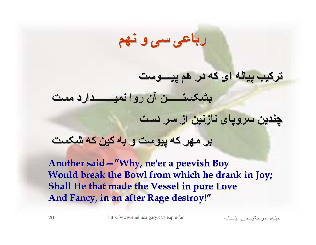**رباعی سی <sup>و</sup> نهم**

**ترکيب پياله ای که در هم پيــــوست پيــــوست**

**بشکستــــــن بشکستــــــن آن روا نميــــــــدارد نميــــــــدارد مست**

**چندین سروپای نازنين از سر دست**

**بر مهر که پيوست <sup>و</sup> به کين که شکست**

**Another said Another said—"Why, ne'er a peevish Boy Why, ne'er a peevish Boy Would break the Bowl from which he drank in Joy; Shall He that made the Vessel in pure Love** And Fancy, in an after Rage destroy!"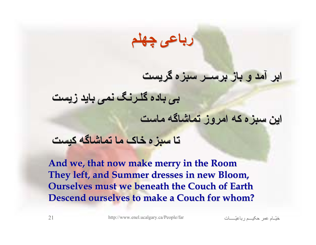**رباعی چهلم**

#### **ابر آمد <sup>و</sup> باز برســر سبزه گریست**

**بی باده گلـرنگ نمی باید زیست**

**این سبزه که امروز تماشاگه تماشاگه ماست**

#### **تا سبزه خاک ما تماشاگه تماشاگه کيست**

**And we, that now make merry in the Room And we, that now make merry in the Room They left, and Summer dresses in new Bloom, They left, and Summer dresses in new Bloom, Ourselves must we beneath the Couch of Earth Descend ourselves to make a Couch for whom? Descend ourselves to make a Couch for whom?**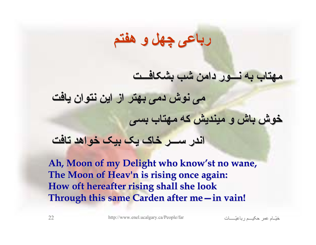## **رباعی چهل <sup>و</sup> هفتم**

#### **مهتاب به نـــور دامن شب بشکافـــت بشکافـــت**

**می نوش دمی بهتر از این نتوان یافت خوش باش <sup>و</sup> ميندیش که مهتاب بسی اندر ســـر خاک یک بيک خواهد تافت**

Ah, Moon of my Delight who know'st no wane, The Moon of Heav'n is rising once again: How oft hereafter rising shall she look **Through this same Through this same Carden after me after me—in vain! in vain!**

اتѧѧѧѧѧѧѧـّرباعي مѧѧѧѧѧѧحکي عمر امѧѧѧّخي <sup>22</sup> http://www.enel.ucalgary.ca/People/far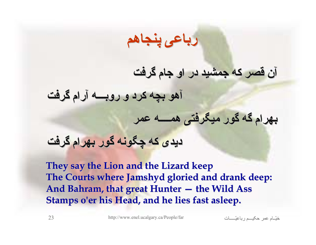### **رباعی پنجاهم**

#### **آن قصر که جمشيد در او جام گرفت**

**آهو بچه کرد <sup>و</sup> روبـــه روبـــه آرام گرفت**

**بهرام گه گور ميگرفتی ميگرفتی همــــه همــــه عمر**

**دیدی که چگونه گور بهرام گرفت**

**They say the Lion and the Lizard keep They say the Lion and the Lizard keep The Courts where Jamshyd gloried and drank deep:** And Bahram, that great Hunter – the Wild Ass **Stamps o'er his Head, and he lies fast asleep.**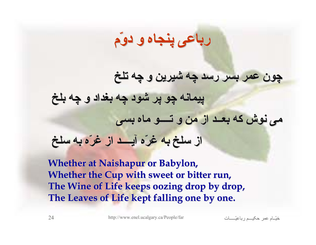## **رباعی پنجاه <sup>و</sup> دوّم**

## **چون عمر بسر رسد چه شيرین <sup>و</sup> چه تلخ پيمانه چو پر شود چه بغداد <sup>و</sup> چه بلخ می نوش که بعــد از من <sup>و</sup> تــــو ماه بسی از سلخ به غرّه آیــــد آیــــد از غرّه به سلخ**

**Whether at Naishapur or Babylon, Whether the Cup with sweet or bitter run,** The Wine of Life keeps oozing drop by drop, The Leaves of Life kept falling one by one.

اتѧѧѧѧѧѧѧـّرباعي مѧѧѧѧѧѧحکي عمر امѧѧѧّخي <sup>24</sup> http://www.enel.ucalgary.ca/People/far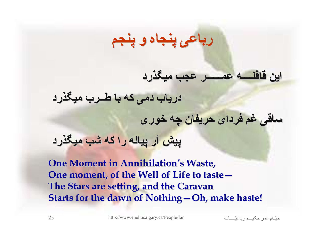## **رباعی پنجاه <sup>و</sup> پنجم**

**دریاب دمی که با طــرب ميگذرد ساقی غم فردای حریفان چه خوری پيش آر پياله را که شب ميگذرد**

**این قافلــــه قافلــــه عمــــــر عمــــــر عجب ميگذرد**

**One Moment in Annihilation's Waste, One moment, of the Well of Life to taste— The Stars are setting, and the Caravan The Stars are setting, and the Caravan Starts for the dawn of Nothing–Oh, make haste!**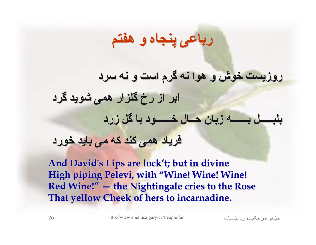## **رباعی پنجاه <sup>و</sup> هفتم**

**روزیست خوش <sup>و</sup> هوا نه گرم است <sup>و</sup> نه سرد ابر از رخ گلزار همی شوید گرد بلبـــــل بلبـــــل بــــــه بــــــه زبان حــال خــــــود خــــــود با گل زرد فریاد همی کند که می باید خورد**

And David's Lips are lock't; but in divine **High piping High piping Pelevi, with "Wine! Wine! Wine! Wine! Wine! Wine! Red Wine! Red Wine!" — the Nightingale cries to the Rose the Nightingale cries to the Rose That yellow Cheek of hers to incarnadine. That yellow Cheek of hers to incarnadine.**

اتѧѧѧѧѧѧѧـّرباعي مѧѧѧѧѧѧحکي عمر امѧѧѧّخي <sup>26</sup> http://www.enel.ucalgary.ca/People/far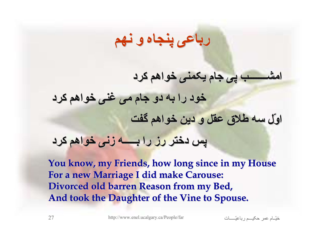## **رباعی پنجاه <sup>و</sup> نهم**

**امشـــــــب امشـــــــب پی جام یکمنی خواهم کرد خود را به دو جام می غنی خواهم کرد اوّل سه طلاق عقل <sup>و</sup> دین خواهم گفت پس دختر رز را بـــــه بـــــه زنی خواهم کرد**

You know, my Friends, how long since in my House **For a new Marriage I did make Carouse: For a new Marriage I did make Carouse: Divorced old barren Reason from my Bed, Divorced old barren Reason from my Bed, And took the Daughter of the Vine to Spouse. And took the Daughter of the Vine to Spouse.**

اتѧѧѧѧѧѧѧـّرباعي مѧѧѧѧѧѧحکي عمر امѧѧѧّخي <sup>27</sup> http://www.enel.ucalgary.ca/People/far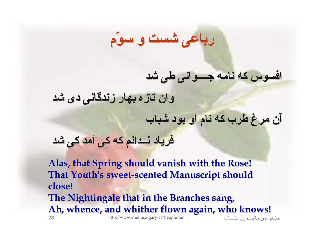#### **افسوس که نامه جــــوانی جــــوانی طی شد**

**وان تازه بهار زندگانی زندگانی دی شد**

**آن مرغ طرب که نام او بود شباب**

**فریاد نــدانم نــدانم که کی آمد کی شد**

اتي اته مهر المكي ميم ديماعيّ ميسم دي المعرّ ميمية مميز الممكن من 28 http://www.enel.ucalgary.ca/People/far **Alas, that Spring should vanish with the Rose! Alas, that Spring should vanish with the Rose! That Youth's sweet That Youth's sweet-scented Manuscript should scented Manuscript should close! The Nightingale that in the Branches sang, The Nightingale that in the Branches sang, Ah, whence, and whither flown again, who knows! Ah, whence, and whither flown again, who knows!**

**رباعی شست <sup>و</sup> سوّم**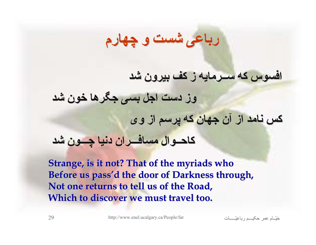## **افسوس که ســرمایه ســرمایه ز کف بيرون شد وز دست اجل بسی جگرها خون شد کس نامد از آن جهان که پرسم از وی کاحــوال کاحــوال مسافـــران مسافـــران دنيا چـــون شد**

**رباعی شست <sup>و</sup> چهارم**

**Strange, is it not? That of the myriads who** Before us pass'd the door of Darkness through, Not one returns to tell us of the Road, **Which to discover we must travel too.** 

اتѧѧѧѧѧѧѧـّرباعي مѧѧѧѧѧѧحکي عمر امѧѧѧّخي <sup>29</sup> http://www.enel.ucalgary.ca/People/far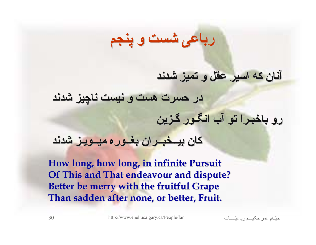#### **آنان که اسير عقل <sup>و</sup> تميز شدند**

**در حسرت هست <sup>و</sup> نيست ناچيز شدند رو باخبـرا باخبـرا تو آب انگـور گـزین**

**رباعی شست <sup>و</sup> پنجم**

#### **کان بيــخبــران بيــخبــران بغــوره بغــوره ميــویـز ميــویـز شدند**

**How long, how long, in infinite Pursuit Of This and That Of This and That endeavour endeavour and dispute? and dispute? Better be merry with the fruitful Grape Better be merry with the fruitful Grape Than sadden after none, or better, Fruit. Than sadden after none, or better, Fruit.**

اتѧѧѧѧѧѧѧـّرباعي مѧѧѧѧѧѧحکي عمر امѧѧѧّخي <sup>30</sup> http://www.enel.ucalgary.ca/People/far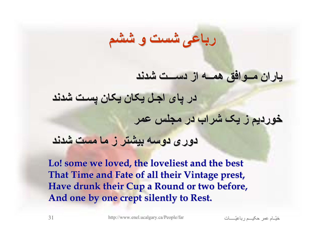#### **یاران مــوافق مــوافق همــه از دســـت شدند**

**در پای اجـل یکان یکان پسـت شدند**

**خوردیم ز یک شراب در مجلس عمر**

**دوری دوسه بيشتر ز ما مست شدند**

**Lo! some we loved, the loveliest and the best Lo! some we loved, the loveliest and the best That Time and Fate of all their Vintage prest, Have drunk their Cup a Round or two before, Have drunk their Cup a Round or two before, And one by one crept silently to Rest. And one by one crept silently to Rest.**

**رباعی شست <sup>و</sup> ششم**

اتѧѧѧѧѧѧѧـّرباعي مѧѧѧѧѧѧحکي عمر امѧѧѧّخي <sup>31</sup> http://www.enel.ucalgary.ca/People/far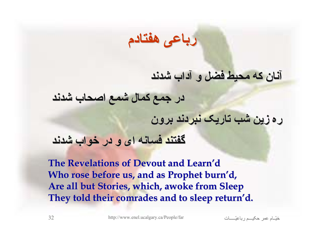

#### **آنان که محيط فضل <sup>و</sup> آداب شدند**

**در جمع کمال شمع اصحاب شدند**

**ره زین شب تاریک نبردند برون**

#### **گفتند فسانه ای <sup>و</sup> در خواب شدند**

**The Revelations of Devout and Learn'd** Who rose before us, and as Prophet burn'd, **Are all but Stories, which, awoke from Sleep Are all but Stories, which, awoke from Sleep** They told their comrades and to sleep return'd.

اتѧѧѧѧѧѧѧـّرباعي مѧѧѧѧѧѧحکي عمر امѧѧѧّخي <sup>32</sup> http://www.enel.ucalgary.ca/People/far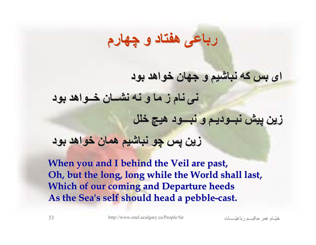## **رباعی هفتاد <sup>و</sup> چهارم**

#### **ای بس که نباشيم <sup>و</sup> جهان خواهد بود**

**نی نام ز ما <sup>و</sup> نه نشــان خــواهد خــواهد بود**

**زین پيش نبــودیـم نبــودیـم <sup>و</sup> نبـــود نبـــود هيچ خلل**

#### **زین پس چو نباشيم همان خواهد بود**

**When you and I behind the Veil are past, Oh, but the long, long while the World shall last, Which of our coming and Departure heeds** As the Sea's self should head a pebble-cast.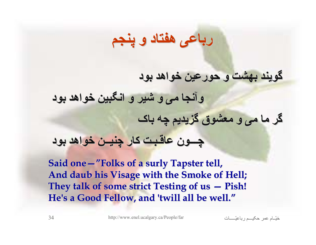## **گویند بهشت <sup>و</sup> حورعين خواهد بود وآنجا می <sup>و</sup> شير <sup>و</sup> انگبين خواهد بود گر ما می <sup>و</sup> معشوق گزیدیم چه باک چـــون عاقـبـت عاقـبـت کار چنيــن خواهد بود**

**رباعی هفتاد <sup>و</sup> پنجم**

**Said one Said one—"Folks of a surly Tapster tell, Folks of a surly Tapster tell, And daub his Visage with the Smoke of Hell; And daub his Visage with the Smoke of Hell;** They talk of some strict Testing of us - Pish! He's a Good Fellow, and 'twill all be well."

اتѧѧѧѧѧѧѧـّرباعي مѧѧѧѧѧѧحکي عمر امѧѧѧّخي <sup>34</sup> http://www.enel.ucalgary.ca/People/far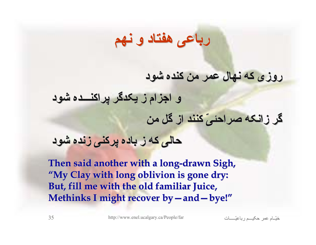### **رباعی هفتاد <sup>و</sup> نهم**

#### **روزی که نهال عمر من کنده شود**

**<sup>و</sup> اجزام <sup>ز</sup> یکدگر پراکنـــده پراکنـــده شود**

**گر زانکه صراحئیّ صراحئیّ کنند از گل من**

**حالی که ز باده پرکنی زنده شود**

**Then said another with a long-drawn Sigh,** "My Clay with long oblivion is gone dry: **But, fill me with the old familiar Juice, But, fill me with the old familiar Juice, Methinks I might recover by—and—bye!"** 

اتѧѧѧѧѧѧѧـّرباعي مѧѧѧѧѧѧحکي عمر امѧѧѧّخي <sup>35</sup> http://www.enel.ucalgary.ca/People/far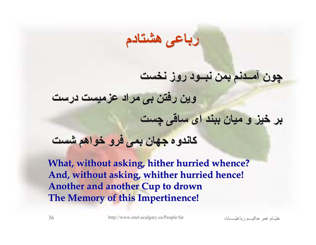#### **رباعی هشتادم**

#### **چون آمــدنم آمــدنم بمن نبــود روز نخست**

**وین رفتن بی مراد عزميست درست**

**بر خيز <sup>و</sup> ميان ببند ای ساقی چست**

**کاندوه جهان بمی فرو خواهم شست**

What, without asking, hither hurried whence? And, without asking, whither hurried hence! **Another and another Cup to drown Another and another Cup to drown The Memory of this Impertinence! The Memory of this Impertinence!**

اتѧѧѧѧѧѧѧـّرباعي مѧѧѧѧѧѧحکي عمر امѧѧѧّخي <sup>36</sup> http://www.enel.ucalgary.ca/People/far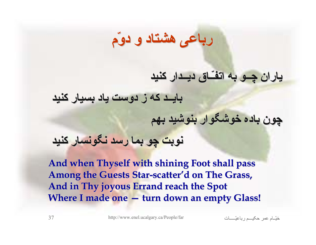#### **یاران چــو به اتفـّـاق اتفـّـاق دیــدار دیــدار کنيد**

**بایــد که ز دوست یاد بسيار کنيد**

**چون باده خوشگوار خوشگوار بنوشيد بهم**

#### **نوبت چو بما رسد نگونسار نگونسار کنيد**

And when Thyself with shining Foot shall pass Among the Guests Star-scatter'd on The Grass, **And in Thy joyous Errand reach the Spot And in Thy joyous Errand reach the Spot Where I made one — turn down an empty Glass!** 

**رباعی هشتاد <sup>و</sup> دوّم**

اتѧѧѧѧѧѧѧـّرباعي مѧѧѧѧѧѧحکي عمر امѧѧѧّخي <sup>37</sup> http://www.enel.ucalgary.ca/People/far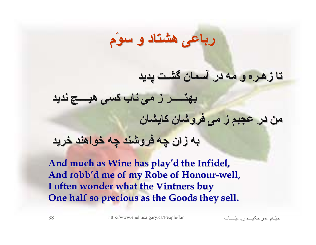#### **تا زهـره <sup>و</sup> مه در آسمان گشـت پدید**

**بهتـــــر بهتـــــر ز می ناب کسی هيــــچ هيــــچ ندید من در عجبم ز می فروشان کایشان به زان چه فروشند چه خواهند خرید**

**رباعی هشتاد <sup>و</sup> سوّم**

And much as Wine has play'd the Infidel, And robb'd me of my Robe of Honour-well, **I often wonder what the Vintners buy I often wonder what the Vintners buy One half so precious as the Goods they sell. One half so precious as the Goods they sell.**

اتѧѧѧѧѧѧѧـّرباعي مѧѧѧѧѧѧحکي عمر امѧѧѧّخي <sup>38</sup> http://www.enel.ucalgary.ca/People/far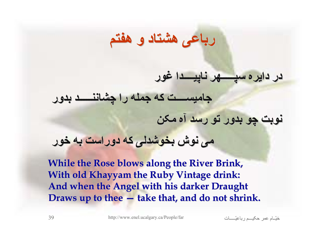## **جاميســــت جاميســــت که جمله را چشاننـــــد چشاننـــــد بدور نوبت چو بدور تو رسد آه مکن**

**در دایره سپـــــهر سپـــــهر ناپيــــدا ناپيــــدا غور**

**رباعی هشتاد <sup>و</sup> هفتم**

#### **می نوش بخوشدلی بخوشدلی که دوراست به خور**

**While the Rose blows along the River Brink, While the Rose blows along the River Brink, With old Khayyam the Ruby Vintage drink: And when the Angel with his darker Draught And when the Angel with his darker Draught Draws up to thee — take that, and do not shrink.** 

اتѧѧѧѧѧѧѧـّرباعي مѧѧѧѧѧѧحکي عمر امѧѧѧّخي <sup>39</sup> http://www.enel.ucalgary.ca/People/far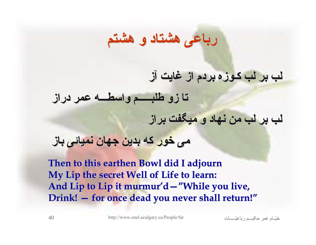#### **لب بر لب کـوزه بردم از غایت آز**

**تا زو طلبـــــم طلبـــــم واسطـــه واسطـــه عمر دراز**

**لب بر لب من نهاد <sup>و</sup> ميگفت براز**

#### **می خور که بدین جهان نميائی باز**

**Then to this earthen Bowl did I adjourn Then to this earthen Bowl did I adjourn My Lip the secret Well of Life to learn: My Lip the secret Well of Life to learn:** And Lip to Lip it murmur'd—"While you live, **Drink! — for once dead you never shall return! for once dead you never shall return!"**

**رباعی هشتاد <sup>و</sup> هشتم**

اتѧѧѧѧѧѧѧـّرباعي مѧѧѧѧѧѧحکي عمر امѧѧѧّخي <sup>40</sup> http://www.enel.ucalgary.ca/People/far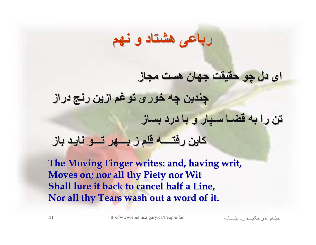## **رباعی هشتاد <sup>و</sup> نهم ای دل چو حقيقت جهان هست مجاز چندین چه خوری توغم ازین رنج دراز تن را به قضـا سـپار <sup>و</sup> با درد بساز کاین رفتــــه رفتــــه قلم ز بـــهر تـــو نایـد باز**

**The Moving Finger writes: and, having writ, Moves on; nor all thy Piety nor Wit Shall lure it back to cancel half a Line,** Nor all thy Tears wash out a word of it.

اتѧѧѧѧѧѧѧـّرباعي مѧѧѧѧѧѧحکي عمر امѧѧѧّخي <sup>41</sup> http://www.enel.ucalgary.ca/People/far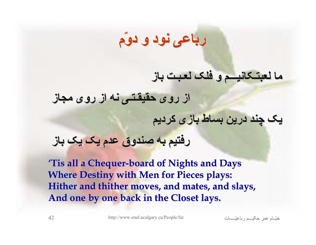## **رباعی نود <sup>و</sup> دوّم**

#### **ما لعبتـکانيـــم لعبتـکانيـــم <sup>و</sup> فلک لعـبـت باز**

**از روی حقيقـتـی حقيقـتـی نه از روی مجاز**

**یک چند درین بساط بازی کردیم**

#### **رفتيم به صندوق عدم یک یک باز**

**'Tis all a Chequer Chequer-board of Nights and Days board of Nights and Days Where Destiny with Men for Pieces plays:** Hither and thither moves, and mates, and slays, **And one by one back in the Closet lays. And one by one back in the Closet lays.**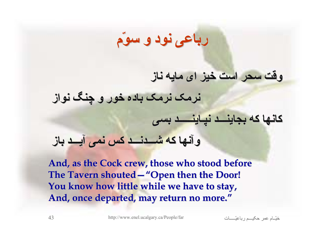## **رباعی نود <sup>و</sup> سوّم**

#### **وقت سحر است خيز ای مایه ناز**

**نرمک نرمک باده خور <sup>و</sup> چنگ نواز**

#### **کانها که بجاینـــد بجاینـــد نپـاینـــــد نپـاینـــــد بسی**

#### **وآنها که شـــدنـــد شـــدنـــد کس نمی آیـــد باز**

**And, as the Cock crew, those who stood before And, as the Cock crew, those who stood before The Tavern shouted The Tavern shouted—"Open then the Door! Open then the Door! You know how little while we have to stay, You know how little while we have to stay,** And, once departed, may return no more."

اتѧѧѧѧѧѧѧـّرباعي مѧѧѧѧѧѧحکي عمر امѧѧѧّخي <sup>43</sup> http://www.enel.ucalgary.ca/People/far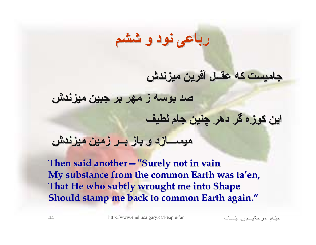## **رباعی نود <sup>و</sup> ششم**

#### **جاميست که عقــل آفرین ميزندش**

**صد بوسه ز مهر بر جبين ميزندش**

**این کوزه گر دهر چنين جام لطيف**

#### **ميســـازد ميســـازد <sup>و</sup> باز بــر زمين ميزندش**

**Then said another Then said another—"Surely not in vain Surely not in vain**  My substance from the common Earth was ta'en, **That He who subtly wrought me into Shape That He who subtly wrought me into Shape Should stamp me back to common Earth again."**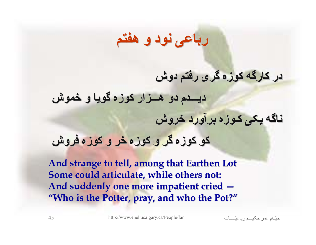### **رباعی نود <sup>و</sup> هفتم**

#### **در کارگه کوزه گری رفتم دوش**

**دیـــدم دیـــدم دو هـــزار هـــزار کوزه گویا <sup>و</sup> خموش ناگه یکی کـوزه برآورد خروش کو کوزه گر <sup>و</sup> کوزه خر <sup>و</sup> کوزه فروش**

**And strange to tell, among that Earthen Lot And strange to tell, among that Earthen Lot Some could articulate, while others not:** And suddenly one more impatient cried  $-$ "Who is the Potter, pray, and who the Pot?"

اتѧѧѧѧѧѧѧـّرباعي مѧѧѧѧѧѧحکي عمر امѧѧѧّخي <sup>45</sup> http://www.enel.ucalgary.ca/People/far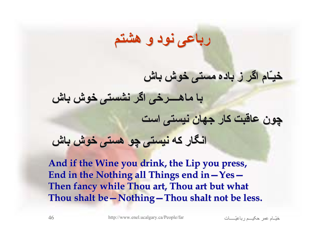## **رباعی نود <sup>و</sup> هشتم**

#### **خيـّام اگر ز باده مستی خوش باش**

**با ماهــــرخی ماهــــرخی اگر نشستی خوش باش**

**چون عاقبت کار جهان نيستی است**

**انگار که نيستی چو هستی خوش باش**

**And if the Wine you drink, the Lip you press, And if the Wine you drink, the Lip you press,** End in the Nothing all Things end in - Yes-**Then fancy while Thou art, Thou art but what Then fancy while Thou art, Thou art but what Thou shalt be—Nothing—Thou shalt not be less.** 

اتѧѧѧѧѧѧѧـّرباعي مѧѧѧѧѧѧحکي عمر امѧѧѧّخي <sup>46</sup> http://www.enel.ucalgary.ca/People/far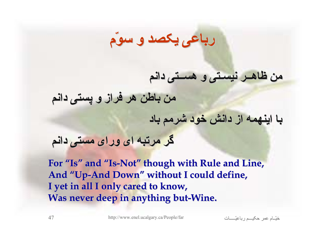#### **رباعی یکصد <sup>و</sup> سوّم**

#### **من ظاهــر نيسـتی <sup>و</sup> هســتی دانم**

**من باطن هر فراز <sup>و</sup> پستی دانم**

**با اینهمه از دانش خود شرمم باد**

**گر مرتبه ای ورای مستی دانم**

**For "Is" and "Is-Not" though with Rule and Line, though with Rule and Line,** And "Up-And Down" without I could define, **I yet in all I only cared to know, I yet in all I only cared to know, Was never deep in anything but-Wine.** 

اتѧѧѧѧѧѧѧـّرباعي مѧѧѧѧѧѧحکي عمر امѧѧѧّخي <sup>47</sup> http://www.enel.ucalgary.ca/People/far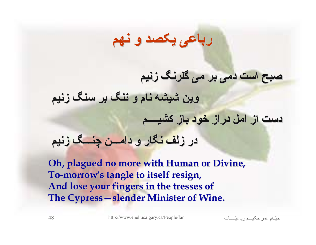### **رباعی یکصد <sup>و</sup> نهم**

#### **صبح است دمی بر می گلرنگ زنيم**

**وین شيشه نام <sup>و</sup> ننگ بر سنگ زنيم**

**دست از امل دراز خود باز کشيــــم کشيــــم**

#### **در زلف نگار <sup>و</sup> دامـــن دامـــن چنـــگ زنيم**

**Oh, plagued no more with Human or Divine,** To-morrow's tangle to itself resign, **And lose your fingers in the tresses of And lose your fingers in the tresses of The Cypress – slender Minister of Wine.** 

اتѧѧѧѧѧѧѧـّرباعي مѧѧѧѧѧѧحکي عمر امѧѧѧّخي <sup>48</sup> http://www.enel.ucalgary.ca/People/far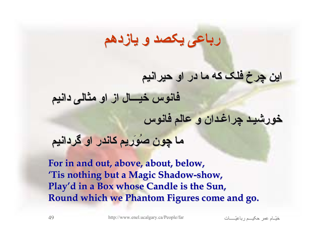### **رباعی یکصد <sup>و</sup> یازدهم**

#### **این چرخ فلک که ما در او حيرانيم حيرانيم**

**فانوس خيـــال خيـــال از او مثالی دانيم**

**خورشيـد خورشيـد چراغـدان چراغـدان <sup>و</sup> عالم فانوس**

**ما چون صُوَریم صُوَریم کاندر او گردانيم گردانيم**

**For in and out, above, about, below, For in and out, above, about, below, 'Tis nothing but a Magic Shadow nothing but a Magic Shadow-show, Play'd in a Box whose Candle is the Sun, in a Box whose Candle is the Sun, Round which we Phantom Figures come and go.** 

اتѧѧѧѧѧѧѧـّرباعي مѧѧѧѧѧѧحکي عمر امѧѧѧّخي <sup>49</sup> http://www.enel.ucalgary.ca/People/far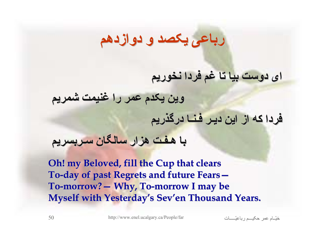### **رباعی یکصد <sup>و</sup> دوازدهم دوازدهم**

#### **ای دوست بيا تا غم فردا نخوریم**

**وین یکدم عمر را غنيمت شمریم**

**فردا که از این دیـر فـنـا درگذریم درگذریم**

**با هـفـت هزار سالگان سـربسریم سـربسریم**

**Oh! my Beloved, fill the Cup that clears To-day of past Regrets and future Fears day of past Regrets and future Fears— To-morrow? morrow?— Why, To Why, To-morrow I may be morrow I may be Myself with Yesterday's Sev'en Thousand Years.**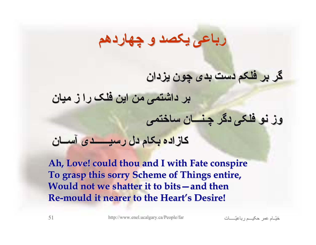## **رباعی یکصد <sup>و</sup> چهاردهم چهاردهم**

#### **گر بر فلکم دست بدی چون یزدان**

**بر داشتمی من این فلک را ز ميان**

#### **وز نو فلکی دگر چـنـــان چـنـــان ساختمی**

#### **کازاده بکام دل رسيــــــدی رسيــــــدی آســان**

**Ah, Love! could thou and I with Fate conspire Ah, Love! could thou and I with Fate conspire To grasp this sorry Scheme of Things entire, To grasp this sorry Scheme of Things entire, Would not we shatter it to bits Would not we shatter it to bits—and then and then Re-mould it nearer to the Heart mould it nearer to the Heart's Desire! s Desire!**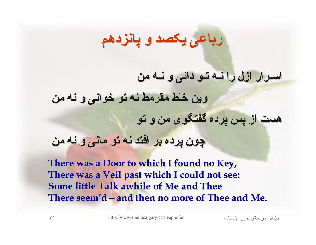## **رباعی یکصد <sup>و</sup> پانزدهم پانزدهم**

#### **اسـرار ازل را نـه تـو دانی <sup>و</sup> نـه من**

**وین خـّط مقرمط نه تو خوانی <sup>و</sup> نه من هست از پس پرده گفتگوی من <sup>و</sup> تو چون پرده بر افتد نه تو مانی <sup>و</sup> نه من**

**There was a Door to which I found no Key, There was a Door to which I found no Key, There was a Veil past which I could not see: There was a Veil past which I could not see: Some little Talk awhile of Me and Thee Some little Talk awhile of Me and Thee**There seem'd – and then no more of Thee and Me.

اتѧѧѧѧѧѧѧـّرباعي مѧѧѧѧѧѧحکي عمر امѧѧѧّخي <sup>52</sup> http://www.enel.ucalgary.ca/People/far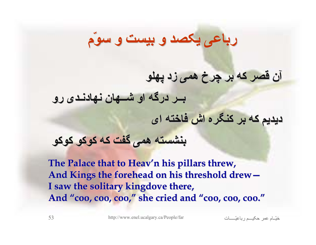## **رباعی یکصد <sup>و</sup> بيست <sup>و</sup> سوّم**

#### **آن قصر که بر چرخ همی زد پهلو**

**بــر درگه او شــهان نهادنـدی نهادنـدی رو**

**دیدیم که بر کنگره اش فاخته ای**

#### **بنشسته همی گفت که کوکو کوکو**

The Palace that to Heav'n his pillars threw, And Kings the forehead on his threshold drew – **I** saw the solitary kingdove there, And "coo, coo, coo," she cried and "coo, coo, coo."

اتѧѧѧѧѧѧѧـّرباعي مѧѧѧѧѧѧحکي عمر امѧѧѧّخي <sup>53</sup> http://www.enel.ucalgary.ca/People/far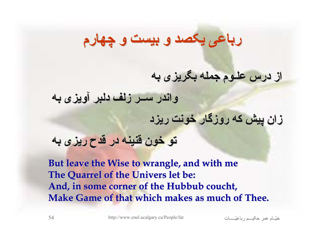## **رباعی یکصد <sup>و</sup> بيست <sup>و</sup> چهارم**

#### **از درس علـوم جمله بگریزی به**

**واندر ســر زلف دلبر آویزی به**

**زان پيش که روزگار خونت ریزد**

**تو خون قنينه در قدح ریزی به**

**But leave the Wise to wrangle, and with me But leave the Wise to wrangle, and with me The Quarrel of the Univers let be:** And, in some corner of the Hubbub coucht, **Make Game of that which makes as much of Thee.** 

اتѧѧѧѧѧѧѧـّرباعي مѧѧѧѧѧѧحکي عمر امѧѧѧّخي <sup>54</sup> http://www.enel.ucalgary.ca/People/far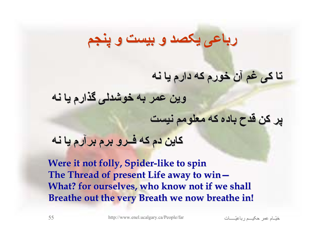## **رباعی یکصد <sup>و</sup> بيست <sup>و</sup> پنجم**

#### **تا کی غم آن خورم که دارم یا نه**

**وین عمر به خوشدلی گذارم یا نه**

**پر کن قدح باده که معلومم نيست**

**کاین دم که فــرو برم برآرم یا نه**

**Were it not folly, Spider-like to spin** The Thread of present Life away to win-What? for ourselves, who know not if we shall **Breathe out the very Breath we now breathe in!** 

اتѧѧѧѧѧѧѧـّرباعي مѧѧѧѧѧѧحکي عمر امѧѧѧّخي <sup>55</sup> http://www.enel.ucalgary.ca/People/far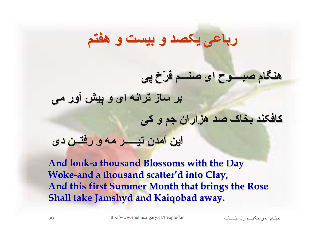## **هنگام صبــــوح صبــــوح ای صنـــم فرّخ پی بر ساز ترانه ای <sup>و</sup> پيش آور می کافکند بخاک صد هزاران جم <sup>و</sup> کی این آمدن تيـــــر تيـــــر مه <sup>و</sup> رفتــن دی**

**رباعی یکصد <sup>و</sup> بيست <sup>و</sup> هفتم**

**And look And look-a thousand Blossoms with the Day a thousand Blossoms with the Day Woke-and a thousand scatter'd into Clay, And this first Summer Month that brings the Rose Shall take Jamshyd and Kaiqobad away.** 

اتѧѧѧѧѧѧѧـّرباعي مѧѧѧѧѧѧحکي عمر امѧѧѧّخي <sup>56</sup> http://www.enel.ucalgary.ca/People/far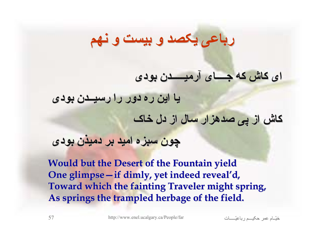## **رباعی یکصد <sup>و</sup> بيست <sup>و</sup> نهم**

#### **ای کاش که جــــای جــــای آرميـــــدن آرميـــــدن بودی**

**یا این ره دور را رسيــدن رسيــدن بودی**

**کاش از پی صدهزار سال از دل خاک**

#### **چون سبزه اميد بر دميذن بودی**

**Would but the Desert of the Fountain yield Would but the Desert of the Fountain yield One glimpse—if dimly, yet indeed reveal'd, Toward which the fainting Traveler might spring, As springs the trampled herbage of the field. As springs the trampled herbage of the field.**

اتѧѧѧѧѧѧѧـّرباعي مѧѧѧѧѧѧحکي عمر امѧѧѧّخي <sup>57</sup> http://www.enel.ucalgary.ca/People/far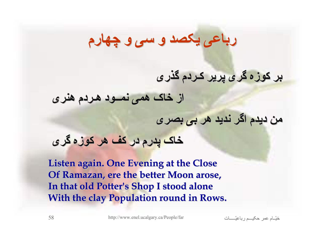## **رباعی یکصد <sup>و</sup> سی <sup>و</sup> چهارم**

#### **بر کوزه گری پریر کـردم گذری**

**از خاک همی نمــود هـردم هنری**

**من دیدم اگر ندید هر بی بصری**

#### **خاک پدرم در کف هر کوزه گری**

**Listen again. One Evening at the Close Listen again. One Evening at the Close Of Ramazan, ere the better Moon arose, In that old Potter's Shop I stood alone In that old Potter's Shop I stood alone With the clay Population round in Rows.** 

اتѧѧѧѧѧѧѧـّرباعي مѧѧѧѧѧѧحکي عمر امѧѧѧّخي <sup>58</sup> http://www.enel.ucalgary.ca/People/far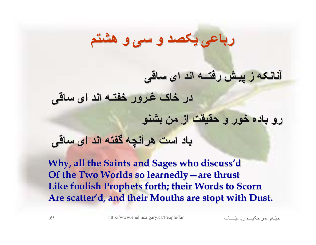## **رباعی یکصد <sup>و</sup> سی <sup>و</sup> هشتم**

#### **آنانکه ز پيـش رفتــه اند ای ساقی**

**در خاک غـرور خفتـه اند ای ساقی**

**رو باده خور <sup>و</sup> حقيقت از من بشنو**

#### **باد است هرآنچه گفته اند ای ساقی**

**Why, all the Saints and Sages who discuss'd Of the Two Worlds so learnedly—are thrust** Like foolish Prophets forth; their Words to Scorn Are scatter'd, and their Mouths are stopt with Dust.

اتѧѧѧѧѧѧѧـّرباعي مѧѧѧѧѧѧحکي عمر امѧѧѧّخي <sup>59</sup> http://www.enel.ucalgary.ca/People/far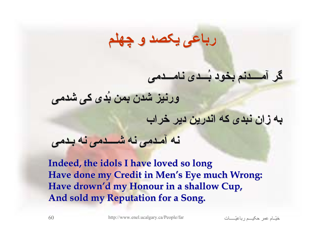### **رباعی یکصد <sup>و</sup> چهلم**

#### **گر آمــــدنم آمــــدنم بخود بُـــدی بُـــدی نامـــدمی نامـــدمی**

**ورنيز شدن بمن بُدی کی شدمی**

**به زان نبدی که اندرین دیر خراب**

**نه آمـدمی نه شــــدمی شــــدمی نه بـدمی**

**Indeed, the idols I have loved so long Indeed, the idols I have loved so long Have done my Credit in Men's Eye much Wrong: Have drown'd my Honour in a shallow Cup, in a shallow Cup, And sold my Reputation for a Song. And sold my Reputation for a Song.** 

اتѧѧѧѧѧѧѧـّرباعي مѧѧѧѧѧѧحکي عمر امѧѧѧّخي <sup>60</sup> http://www.enel.ucalgary.ca/People/far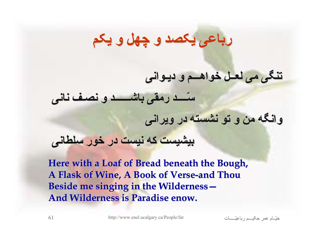## **رباعی یکصد <sup>و</sup> چهل <sup>و</sup> یکم**

#### **تنگی می لعــل خواهـــم خواهـــم <sup>و</sup> دیـوانی دیـوانی**

**سّــــد سّــــد رمقی باشــــــد باشــــــد <sup>و</sup> نصـف نانی**

**وانگه من <sup>و</sup> تو نشسته در ویرانی**

#### **بيشيست که نيست در خور سلطانی**

**Here with a Loaf of Bread beneath the Bough, Here with a Loaf of Bread beneath the Bough, A Flask of Wine, A Book of Verse A Flask of Wine, A Book of Verse-and Thou and Thou Beside me singing in the Wilderness-And Wilderness is Paradise enow.** 

اتѧѧѧѧѧѧѧـّرباعي مѧѧѧѧѧѧحکي عمر امѧѧѧّخي <sup>61</sup> http://www.enel.ucalgary.ca/People/far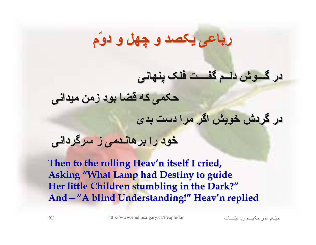## **رباعی یکصد <sup>و</sup> چهل <sup>و</sup> دوّم**

**در گـــوش دلــم گفــــت گفــــت فلک پنهانی**

**حکمی که قضا بود زمن ميدانی**

**در گردش خویش اگر مرا دست بدی**

**خود را برهانـدمی برهانـدمی ز سرگردانی سرگردانی**

**Then to the rolling Heav'n itself I cried, Asking "What Lamp had Destiny to guide** Her little Children stumbling in the Dark?" And -"A blind Understanding!" Heav'n replied